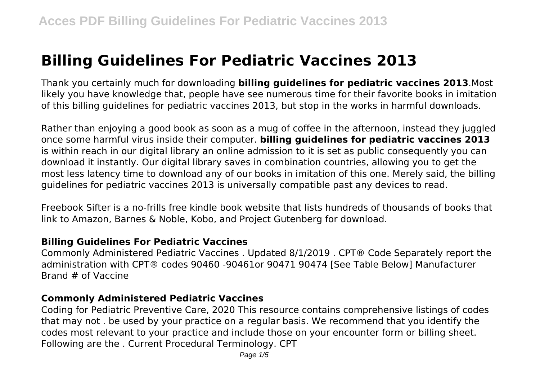# **Billing Guidelines For Pediatric Vaccines 2013**

Thank you certainly much for downloading **billing guidelines for pediatric vaccines 2013**.Most likely you have knowledge that, people have see numerous time for their favorite books in imitation of this billing guidelines for pediatric vaccines 2013, but stop in the works in harmful downloads.

Rather than enjoying a good book as soon as a mug of coffee in the afternoon, instead they juggled once some harmful virus inside their computer. **billing guidelines for pediatric vaccines 2013** is within reach in our digital library an online admission to it is set as public consequently you can download it instantly. Our digital library saves in combination countries, allowing you to get the most less latency time to download any of our books in imitation of this one. Merely said, the billing guidelines for pediatric vaccines 2013 is universally compatible past any devices to read.

Freebook Sifter is a no-frills free kindle book website that lists hundreds of thousands of books that link to Amazon, Barnes & Noble, Kobo, and Project Gutenberg for download.

#### **Billing Guidelines For Pediatric Vaccines**

Commonly Administered Pediatric Vaccines . Updated 8/1/2019 . CPT® Code Separately report the administration with CPT® codes 90460 -90461or 90471 90474 [See Table Below] Manufacturer Brand # of Vaccine

#### **Commonly Administered Pediatric Vaccines**

Coding for Pediatric Preventive Care, 2020 This resource contains comprehensive listings of codes that may not . be used by your practice on a regular basis. We recommend that you identify the codes most relevant to your practice and include those on your encounter form or billing sheet. Following are the . Current Procedural Terminology. CPT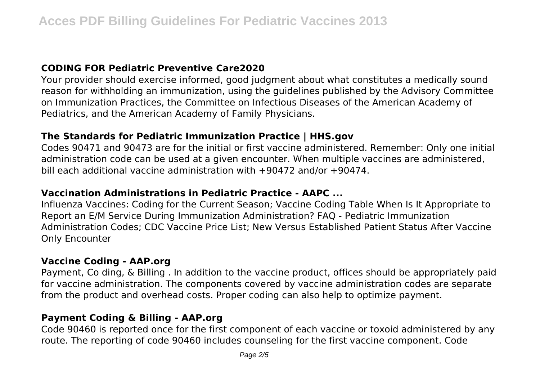## **CODING FOR Pediatric Preventive Care2020**

Your provider should exercise informed, good judgment about what constitutes a medically sound reason for withholding an immunization, using the guidelines published by the Advisory Committee on Immunization Practices, the Committee on Infectious Diseases of the American Academy of Pediatrics, and the American Academy of Family Physicians.

#### **The Standards for Pediatric Immunization Practice | HHS.gov**

Codes 90471 and 90473 are for the initial or first vaccine administered. Remember: Only one initial administration code can be used at a given encounter. When multiple vaccines are administered, bill each additional vaccine administration with +90472 and/or +90474.

## **Vaccination Administrations in Pediatric Practice - AAPC ...**

Influenza Vaccines: Coding for the Current Season; Vaccine Coding Table When Is It Appropriate to Report an E/M Service During Immunization Administration? FAQ - Pediatric Immunization Administration Codes; CDC Vaccine Price List; New Versus Established Patient Status After Vaccine Only Encounter

#### **Vaccine Coding - AAP.org**

Payment, Co ding, & Billing . In addition to the vaccine product, offices should be appropriately paid for vaccine administration. The components covered by vaccine administration codes are separate from the product and overhead costs. Proper coding can also help to optimize payment.

#### **Payment Coding & Billing - AAP.org**

Code 90460 is reported once for the first component of each vaccine or toxoid administered by any route. The reporting of code 90460 includes counseling for the first vaccine component. Code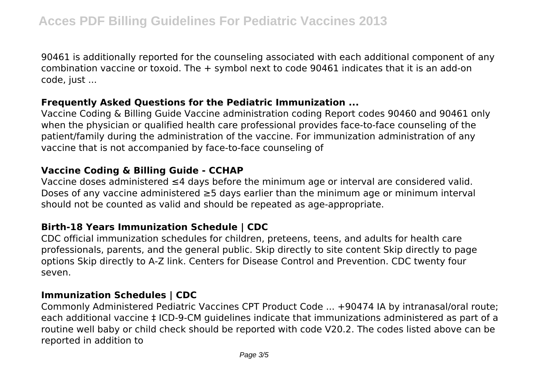90461 is additionally reported for the counseling associated with each additional component of any combination vaccine or toxoid. The + symbol next to code 90461 indicates that it is an add-on code, just ...

#### **Frequently Asked Questions for the Pediatric Immunization ...**

Vaccine Coding & Billing Guide Vaccine administration coding Report codes 90460 and 90461 only when the physician or qualified health care professional provides face-to-face counseling of the patient/family during the administration of the vaccine. For immunization administration of any vaccine that is not accompanied by face-to-face counseling of

### **Vaccine Coding & Billing Guide - CCHAP**

Vaccine doses administered ≤4 days before the minimum age or interval are considered valid. Doses of any vaccine administered ≥5 days earlier than the minimum age or minimum interval should not be counted as valid and should be repeated as age-appropriate.

## **Birth-18 Years Immunization Schedule | CDC**

CDC official immunization schedules for children, preteens, teens, and adults for health care professionals, parents, and the general public. Skip directly to site content Skip directly to page options Skip directly to A-Z link. Centers for Disease Control and Prevention. CDC twenty four seven.

## **Immunization Schedules | CDC**

Commonly Administered Pediatric Vaccines CPT Product Code ... +90474 IA by intranasal/oral route; each additional vaccine ‡ ICD-9-CM guidelines indicate that immunizations administered as part of a routine well baby or child check should be reported with code V20.2. The codes listed above can be reported in addition to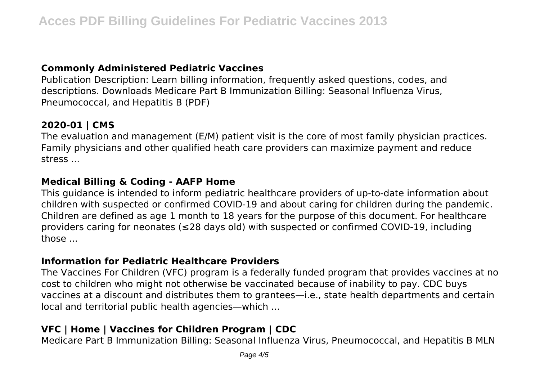## **Commonly Administered Pediatric Vaccines**

Publication Description: Learn billing information, frequently asked questions, codes, and descriptions. Downloads Medicare Part B Immunization Billing: Seasonal Influenza Virus, Pneumococcal, and Hepatitis B (PDF)

## **2020-01 | CMS**

The evaluation and management (E/M) patient visit is the core of most family physician practices. Family physicians and other qualified heath care providers can maximize payment and reduce stress ...

## **Medical Billing & Coding - AAFP Home**

This guidance is intended to inform pediatric healthcare providers of up-to-date information about children with suspected or confirmed COVID-19 and about caring for children during the pandemic. Children are defined as age 1 month to 18 years for the purpose of this document. For healthcare providers caring for neonates (≤28 days old) with suspected or confirmed COVID-19, including those ...

## **Information for Pediatric Healthcare Providers**

The Vaccines For Children (VFC) program is a federally funded program that provides vaccines at no cost to children who might not otherwise be vaccinated because of inability to pay. CDC buys vaccines at a discount and distributes them to grantees—i.e., state health departments and certain local and territorial public health agencies—which ...

## **VFC | Home | Vaccines for Children Program | CDC**

Medicare Part B Immunization Billing: Seasonal Influenza Virus, Pneumococcal, and Hepatitis B MLN